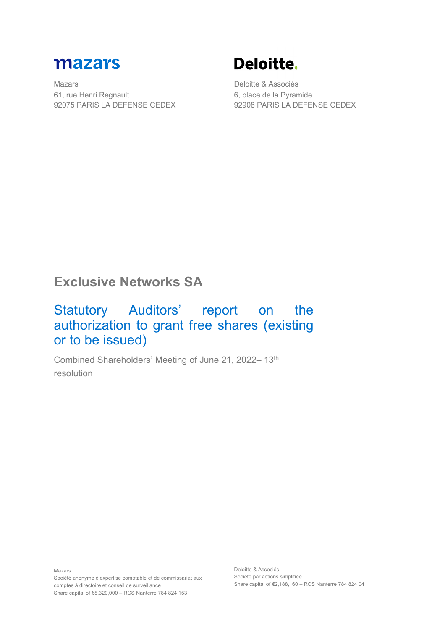

Mazars 61, rue Henri Regnault 92075 PARIS LA DEFENSE CEDEX

# **Deloitte.**

Deloitte & Associés 6, place de la Pyramide 92908 PARIS LA DEFENSE CEDEX

## **Exclusive Networks SA**

## Statutory Auditors' report on the authorization to grant free shares (existing or to be issued)

Combined Shareholders' Meeting of June 21, 2022– 13th resolution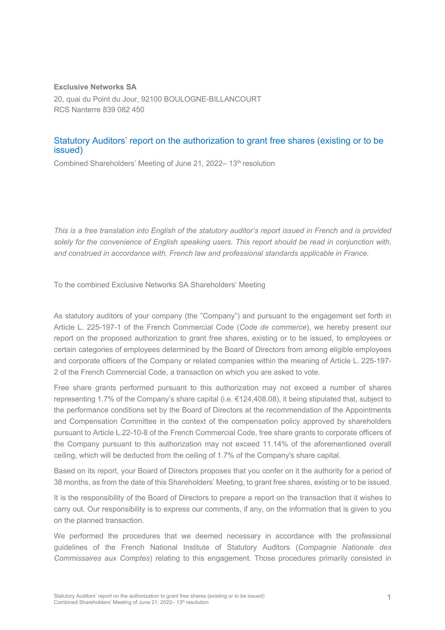#### **Exclusive Networks SA**

20, quai du Point du Jour, 92100 BOULOGNE-BILLANCOURT RCS Nanterre 839 082 450

#### Statutory Auditors' report on the authorization to grant free shares (existing or to be issued)

Combined Shareholders' Meeting of June 21, 2022–13<sup>th</sup> resolution

*This is a free translation into English of the statutory auditor's report issued in French and is provided solely for the convenience of English speaking users. This report should be read in conjunction with, and construed in accordance with, French law and professional standards applicable in France.*

To the combined Exclusive Networks SA Shareholders' Meeting

As statutory auditors of your company (the "Company") and pursuant to the engagement set forth in Article L. 225-197-1 of the French Commercial Code (*Code de commerce*), we hereby present our report on the proposed authorization to grant free shares, existing or to be issued, to employees or certain categories of employees determined by the Board of Directors from among eligible employees and corporate officers of the Company or related companies within the meaning of Article L. 225-197- 2 of the French Commercial Code, a transaction on which you are asked to vote.

Free share grants performed pursuant to this authorization may not exceed a number of shares representing 1.7% of the Company's share capital (i.e. €124,408.08), it being stipulated that, subject to the performance conditions set by the Board of Directors at the recommendation of the Appointments and Compensation Committee in the context of the compensation policy approved by shareholders pursuant to Article L.22-10-8 of the French Commercial Code, free share grants to corporate officers of the Company pursuant to this authorization may not exceed 11.14% of the aforementioned overall ceiling, which will be deducted from the ceiling of 1.7% of the Company's share capital.

Based on its report, your Board of Directors proposes that you confer on it the authority for a period of 38 months, as from the date of this Shareholders' Meeting, to grant free shares, existing or to be issued.

It is the responsibility of the Board of Directors to prepare a report on the transaction that it wishes to carry out. Our responsibility is to express our comments, if any, on the information that is given to you on the planned transaction.

We performed the procedures that we deemed necessary in accordance with the professional guidelines of the French National Institute of Statutory Auditors (*Compagnie Nationale des Commissaires aux Comptes*) relating to this engagement. Those procedures primarily consisted in